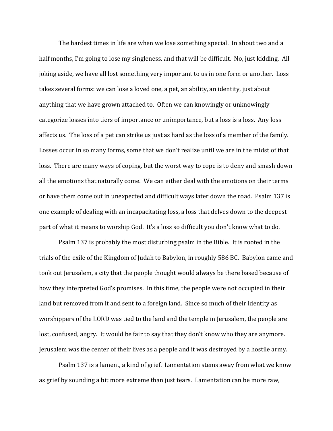The hardest times in life are when we lose something special. In about two and a half months, I'm going to lose my singleness, and that will be difficult. No, just kidding. All joking aside, we have all lost something very important to us in one form or another. Loss takes several forms: we can lose a loved one, a pet, an ability, an identity, just about anything that we have grown attached to. Often we can knowingly or unknowingly categorize losses into tiers of importance or unimportance, but a loss is a loss. Any loss affects us. The loss of a pet can strike us just as hard as the loss of a member of the family. Losses occur in so many forms, some that we don't realize until we are in the midst of that loss. There are many ways of coping, but the worst way to cope is to deny and smash down all the emotions that naturally come. We can either deal with the emotions on their terms or have them come out in unexpected and difficult ways later down the road. Psalm 137 is one example of dealing with an incapacitating loss, a loss that delves down to the deepest part of what it means to worship God. It's a loss so difficult you don't know what to do.

Psalm 137 is probably the most disturbing psalm in the Bible. It is rooted in the trials of the exile of the Kingdom of Judah to Babylon, in roughly 586 BC. Babylon came and took out Jerusalem, a city that the people thought would always be there based because of how they interpreted God's promises. In this time, the people were not occupied in their land but removed from it and sent to a foreign land. Since so much of their identity as worshippers of the LORD was tied to the land and the temple in Jerusalem, the people are lost, confused, angry. It would be fair to say that they don't know who they are anymore. Jerusalem was the center of their lives as a people and it was destroyed by a hostile army.

Psalm 137 is a lament, a kind of grief. Lamentation stems away from what we know as grief by sounding a bit more extreme than just tears. Lamentation can be more raw,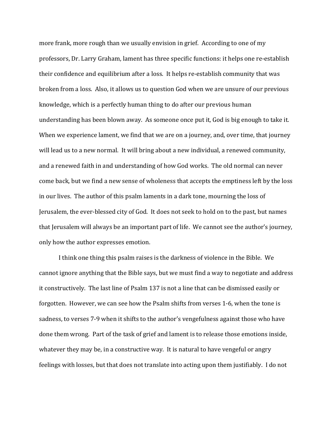more frank, more rough than we usually envision in grief. According to one of my professors, Dr. Larry Graham, lament has three specific functions: it helps one re-establish their confidence and equilibrium after a loss. It helps re-establish community that was broken from a loss. Also, it allows us to question God when we are unsure of our previous knowledge, which is a perfectly human thing to do after our previous human understanding has been blown away. As someone once put it, God is big enough to take it. When we experience lament, we find that we are on a journey, and, over time, that journey will lead us to a new normal. It will bring about a new individual, a renewed community, and a renewed faith in and understanding of how God works. The old normal can never come back, but we find a new sense of wholeness that accepts the emptiness left by the loss in our lives. The author of this psalm laments in a dark tone, mourning the loss of Jerusalem, the ever-blessed city of God. It does not seek to hold on to the past, but names that Jerusalem will always be an important part of life. We cannot see the author's journey, only how the author expresses emotion.

I think one thing this psalm raises is the darkness of violence in the Bible. We cannot ignore anything that the Bible says, but we must find a way to negotiate and address it constructively. The last line of Psalm 137 is not a line that can be dismissed easily or forgotten. However, we can see how the Psalm shifts from verses 1-6, when the tone is sadness, to verses 7-9 when it shifts to the author's vengefulness against those who have done them wrong. Part of the task of grief and lament is to release those emotions inside, whatever they may be, in a constructive way. It is natural to have vengeful or angry feelings with losses, but that does not translate into acting upon them justifiably. I do not